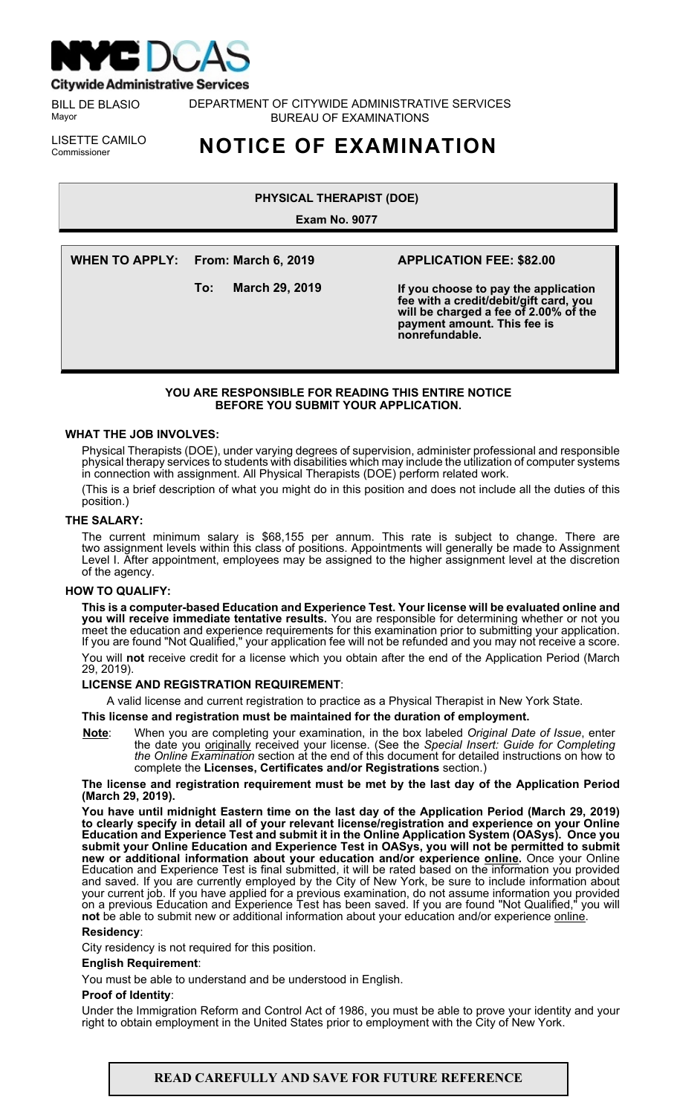

**Citywide Administrative Services** 

BILL DE BLASIO Mayor

DEPARTMENT OF CITYWIDE ADMINISTRATIVE SERVICES BUREAU OF EXAMINATIONS

LISETTE CAMILO<br>Commissioner

# Commissioner **NOTICE OF EXAMINATION**

# **PHYSICAL THERAPIST (DOE)**

**Exam No. 9077**

**WHEN TO APPLY: From: March 6, 2019**

**To: March 29, 2019**

# **APPLICATION FEE: \$82.00**

**If you choose to pay the application fee with a credit/debit/gift card, you will be charged a fee of 2.00% of the payment amount. This fee is nonrefundable.**

# **YOU ARE RESPONSIBLE FOR READING THIS ENTIRE NOTICE BEFORE YOU SUBMIT YOUR APPLICATION.**

## **WHAT THE JOB INVOLVES:**

Physical Therapists (DOE), under varying degrees of supervision, administer professional and responsible physical therapy services to students with disabilities which may include the utilization of computer systems in connection with assignment. All Physical Therapists (DOE) perform related work.

(This is a brief description of what you might do in this position and does not include all the duties of this position.)

# **THE SALARY:**

The current minimum salary is \$68,155 per annum. This rate is subject to change. There are two assignment levels within this class of positions. Appointments will generally be made to Assignment Level I. After appointment, employees may be assigned to the higher assignment level at the discretion of the agency.

# **HOW TO QUALIFY:**

**This is a computer-based Education and Experience Test. Your license will be evaluated online and you will receive immediate tentative results.** You are responsible for determining whether or not you meet the education and experience requirements for this examination prior to submitting your application. If you are found "Not Qualified," your application fee will not be refunded and you may not receive a score. You will **not** receive credit for a license which you obtain after the end of the Application Period (March 29, 2019).

# **LICENSE AND REGISTRATION REQUIREMENT**:

A valid license and current registration to practice as a Physical Therapist in New York State.

# **This license and registration must be maintained for the duration of employment.**

**Note**: When you are completing your examination, in the box labeled *Original Date of Issue*, enter the date you originally received your license. (See the *Special Insert: Guide for Completing the Online Examination* section at the end of this document for detailed instructions on how to complete the **Licenses, Certificates and/or Registrations** section.)

#### **The license and registration requirement must be met by the last day of the Application Period (March 29, 2019).**

**You have until midnight Eastern time on the last day of the Application Period (March 29, 2019) to clearly specify in detail all of your relevant license/registration and experience on your Online Education and Experience Test and submit it in the Online Application System (OASys). Once you submit your Online Education and Experience Test in OASys, you will not be permitted to submit new or additional information about your education and/or experience online.** Once your Online Education and Experience Test is final submitted, it will be rated based on the information you provided and saved. If you are currently employed by the City of New York, be sure to include information about your current job. If you have applied for a previous examination, do not assume information you provided on a previous Education and Experience Test has been saved. If you are found "Not Qualified," you will **not** be able to submit new or additional information about your education and/or experience online.

#### **Residency**:

City residency is not required for this position.

#### **English Requirement**:

You must be able to understand and be understood in English.

#### **Proof of Identity**:

Under the Immigration Reform and Control Act of 1986, you must be able to prove your identity and your right to obtain employment in the United States prior to employment with the City of New York.

### **READ CAREFULLY AND SAVE FOR FUTURE REFERENCE**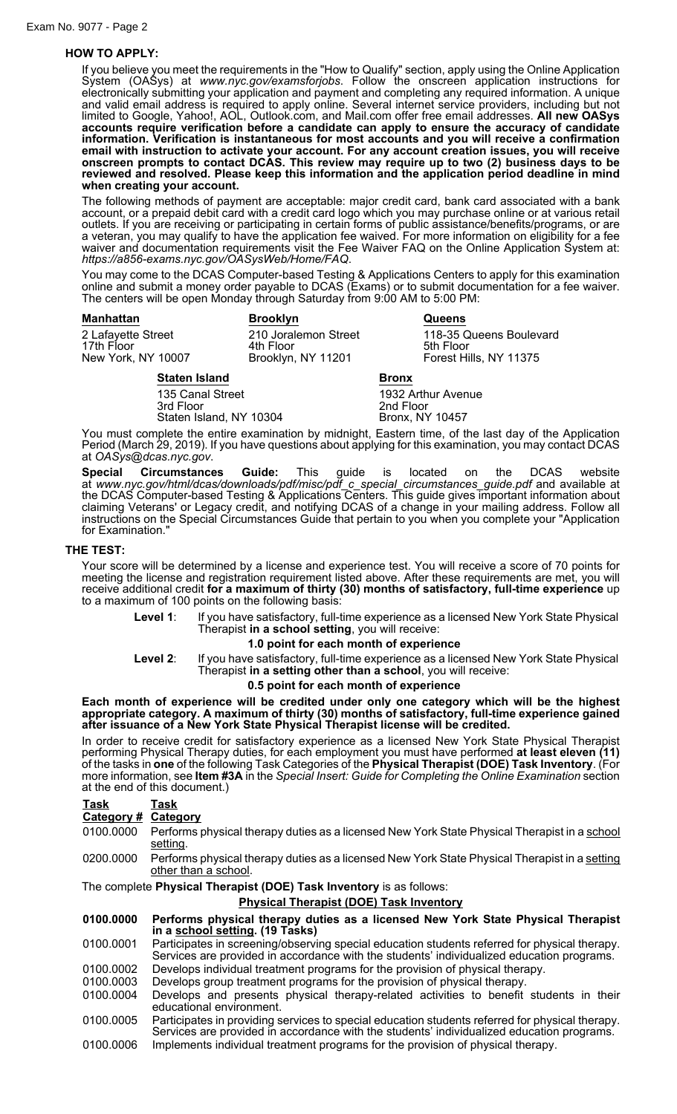# **HOW TO APPLY:**

If you believe you meet the requirements in the "How to Qualify" section, apply using the Online Application System (OASys) at *www.nyc.gov/examsforjobs*. Follow the onscreen application instructions for electronically submitting your application and payment and completing any required information. A unique and valid email address is required to apply online. Several internet service providers, including but not limited to Google, Yahoo!, AOL, Outlook.com, and Mail.com offer free email addresses. **All new OASys accounts require verification before a candidate can apply to ensure the accuracy of candidate information. Verification is instantaneous for most accounts and you will receive a confirmation email with instruction to activate your account. For any account creation issues, you will receive onscreen prompts to contact DCAS. This review may require up to two (2) business days to be reviewed and resolved. Please keep this information and the application period deadline in mind when creating your account.**

The following methods of payment are acceptable: major credit card, bank card associated with a bank account, or a prepaid debit card with a credit card logo which you may purchase online or at various retail outlets. If you are receiving or participating in certain forms of public assistance/benefits/programs, or are a veteran, you may qualify to have the application fee waived. For more information on eligibility for a fee waiver and documentation requirements visit the Fee Waiver FAQ on the Online Application System at: *https://a856-exams.nyc.gov/OASysWeb/Home/FAQ*.

You may come to the DCAS Computer-based Testing & Applications Centers to apply for this examination online and submit a money order payable to DCAS (Exams) or to submit documentation for a fee waiver. The centers will be open Monday through Saturday from 9:00 AM to 5:00 PM:

| <b>Manhattan</b>                                       | <b>Brooklyn</b>                                         | <b>Queens</b>                                                  |
|--------------------------------------------------------|---------------------------------------------------------|----------------------------------------------------------------|
| 2 Lafayette Street<br>17th Floor<br>New York, NY 10007 | 210 Joralemon Street<br>4th Floor<br>Brooklyn, NY 11201 | 118-35 Queens Boulevard<br>5th Floor<br>Forest Hills, NY 11375 |
| <b>Staten Island</b>                                   |                                                         | <b>Bronx</b>                                                   |
| 135 Canal Street                                       |                                                         | 1932 Arthur Avenue                                             |

3rd Floor 2nd Floor<br>Staten Island, NY 10304 Bronx, NY 10457 Staten Island, NY 10304

You must complete the entire examination by midnight, Eastern time, of the last day of the Application Period (March 29, 2019). If you have questions about applying for this examination, you may contact DCAS at *OASys@dcas.nyc.gov*.

**Special Circumstances Guide:** This guide is located on the DCAS website at *www.nyc.gov/html/dcas/downloads/pdf/misc/pdf\_c\_special\_circumstances\_guide.pdf* and available at the DCAS Computer-based Testing & Applications Centers. This guide gives important information about claiming Veterans' or Legacy credit, and notifying DCAS of a change in your mailing address. Follow all instructions on the Special Circumstances Guide that pertain to you when you complete your "Application for Examination."

#### **THE TEST:**

Your score will be determined by a license and experience test. You will receive a score of 70 points for meeting the license and registration requirement listed above. After these requirements are met, you will receive additional credit **for a maximum of thirty (30) months of satisfactory, full-time experience** up to a maximum of 100 points on the following basis:

**Level 1**: If you have satisfactory, full-time experience as a licensed New York State Physical Therapist **in a school setting**, you will receive:

# **1.0 point for each month of experience**

**Level 2**: If you have satisfactory, full-time experience as a licensed New York State Physical Therapist **in a setting other than a school**, you will receive:

#### **0.5 point for each month of experience**

**Each month of experience will be credited under only one category which will be the highest appropriate category. A maximum of thirty (30) months of satisfactory, full-time experience gained after issuance of a New York State Physical Therapist license will be credited.**

In order to receive credit for satisfactory experience as a licensed New York State Physical Therapist performing Physical Therapy duties, for each employment you must have performed **at least eleven (11)** of the tasks in **one** of the following Task Categories of the **Physical Therapist (DOE) Task Inventory**. (For more information, see **Item #3A** in the *Special Insert: Guide for Completing the Online Examination* section at the end of this document.)

## **Task Task Category # Category**

- 0100.0000 Performs physical therapy duties as a licensed New York State Physical Therapist in a school setting.
- 0200.0000 Performs physical therapy duties as a licensed New York State Physical Therapist in a setting other than a school.

The complete **Physical Therapist (DOE) Task Inventory** is as follows:

#### **Physical Therapist (DOE) Task Inventory**

**0100.0000 Performs physical therapy duties as a licensed New York State Physical Therapist in a school setting. (19 Tasks)**

0100.0001 Participates in screening/observing special education students referred for physical therapy. Services are provided in accordance with the students' individualized education programs.

- 0100.0002 Develops individual treatment programs for the provision of physical therapy. 0100.0003 Develops group treatment programs for the provision of physical therapy.
- 
- 0100.0004 Develops and presents physical therapy-related activities to benefit students in their educational environment.
- 0100.0005 Participates in providing services to special education students referred for physical therapy. Services are provided in accordance with the students' individualized education programs.
- 0100.0006 Implements individual treatment programs for the provision of physical therapy.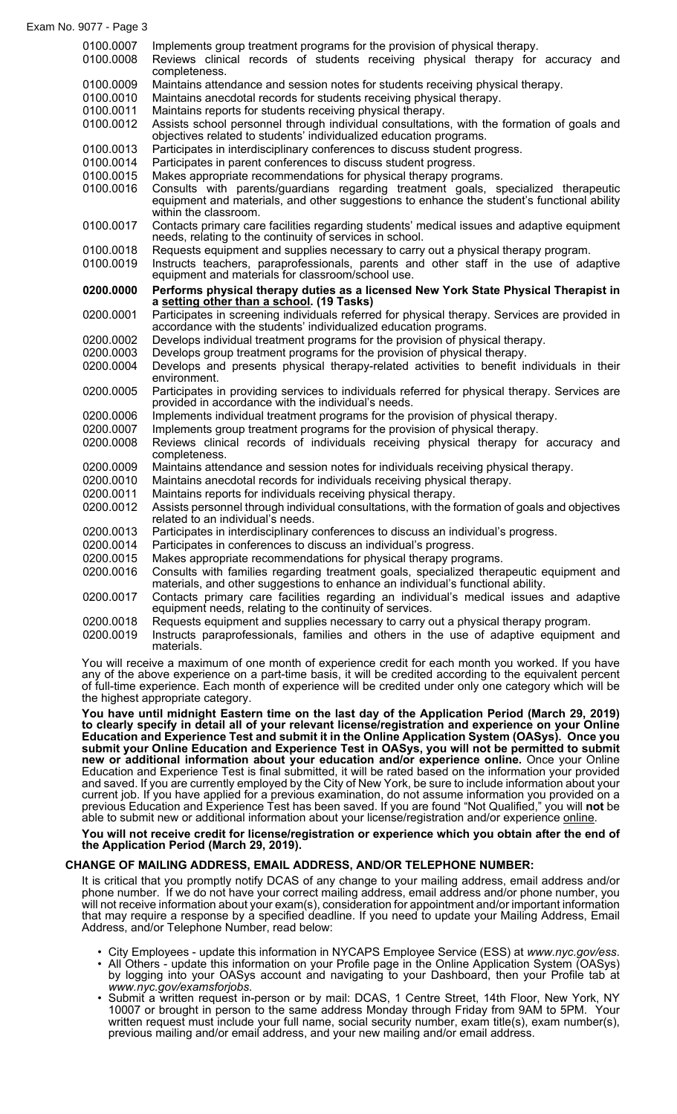## Exam No. 9077 - Page 3

0100.0007 Implements group treatment programs for the provision of physical therapy. 0100.0008 Reviews clinical records of students receiving physical therapy for accuracy and completeness. 0100.0009 Maintains attendance and session notes for students receiving physical therapy. 0100.0010 Maintains anecdotal records for students receiving physical therapy. 0100.0011 Maintains reports for students receiving physical therapy. 0100.0012 Assists school personnel through individual consultations, with the formation of goals and objectives related to students' individualized education programs. 0100.0013 Participates in interdisciplinary conferences to discuss student progress. 0100.0014 Participates in parent conferences to discuss student progress. 0100.0015 Makes appropriate recommendations for physical therapy programs. 0100.0016 Consults with parents/guardians regarding treatment goals, specialized therapeutic equipment and materials, and other suggestions to enhance the student's functional ability within the classroom. 0100.0017 Contacts primary care facilities regarding students' medical issues and adaptive equipment needs, relating to the continuity of services in school. 0100.0018 Requests equipment and supplies necessary to carry out a physical therapy program. 0100.0019 Instructs teachers, paraprofessionals, parents and other staff in the use of adaptive equipment and materials for classroom/school use. **0200.0000 Performs physical therapy duties as a licensed New York State Physical Therapist in a setting other than a school. (19 Tasks)** 0200.0001 Participates in screening individuals referred for physical therapy. Services are provided in accordance with the students' individualized education programs. 0200.0002 Develops individual treatment programs for the provision of physical therapy. 0200.0003 Develops group treatment programs for the provision of physical therapy. 0200.0004 Develops and presents physical therapy-related activities to benefit individuals in their environment. 0200.0005 Participates in providing services to individuals referred for physical therapy. Services are provided in accordance with the individual's needs. 0200.0006 Implements individual treatment programs for the provision of physical therapy. 0200.0007 Implements group treatment programs for the provision of physical therapy. 0200.0008 Reviews clinical records of individuals receiving physical therapy for accuracy and completeness. 0200.0009 Maintains attendance and session notes for individuals receiving physical therapy. 0200.0010 Maintains anecdotal records for individuals receiving physical therapy. 0200.0011 Maintains reports for individuals receiving physical therapy. 0200.0012 Assists personnel through individual consultations, with the formation of goals and objectives related to an individual's needs. 0200.0013 Participates in interdisciplinary conferences to discuss an individual's progress. 0200.0014 Participates in conferences to discuss an individual's progress. 0200.0015 Makes appropriate recommendations for physical therapy programs. 0200.0016 Consults with families regarding treatment goals, specialized therapeutic equipment and materials, and other suggestions to enhance an individual's functional ability. 0200.0017 Contacts primary care facilities regarding an individual's medical issues and adaptive equipment needs, relating to the continuity of services.

0200.0018 Requests equipment and supplies necessary to carry out a physical therapy program.

0200.0019 Instructs paraprofessionals, families and others in the use of adaptive equipment and materials.

You will receive a maximum of one month of experience credit for each month you worked. If you have any of the above experience on a part-time basis, it will be credited according to the equivalent percent of full-time experience. Each month of experience will be credited under only one category which will be the highest appropriate category.

**You have until midnight Eastern time on the last day of the Application Period (March 29, 2019) to clearly specify in detail all of your relevant license/registration and experience on your Online Education and Experience Test and submit it in the Online Application System (OASys). Once you submit your Online Education and Experience Test in OASys, you will not be permitted to submit new or additional information about your education and/or experience online.** Once your Online Education and Experience Test is final submitted, it will be rated based on the information your provided and saved. If you are currently employed by the City of New York, be sure to include information about your current job. If you have applied for a previous examination, do not assume information you provided on a previous Education and Experience Test has been saved. If you are found "Not Qualified," you will **not** be able to submit new or additional information about your license/registration and/or experience online.

# **You will not receive credit for license/registration or experience which you obtain after the end of the Application Period (March 29, 2019).**

# **CHANGE OF MAILING ADDRESS, EMAIL ADDRESS, AND/OR TELEPHONE NUMBER:**

It is critical that you promptly notify DCAS of any change to your mailing address, email address and/or phone number. If we do not have your correct mailing address, email address and/or phone number, you will not receive information about your exam(s), consideration for appointment and/or important information that may require a response by a specified deadline. If you need to update your Mailing Address, Email Address, and/or Telephone Number, read below:

- City Employees update this information in NYCAPS Employee Service (ESS) at *www.nyc.gov/ess*.
- All Others update this information on your Profile page in the Online Application System (OASys) by logging into your OASys account and navigating to your Dashboard, then your Profile tab at *www.nyc.gov/examsforjobs*.
- Submit a written request in-person or by mail: DCAS, 1 Centre Street, 14th Floor, New York, NY 10007 or brought in person to the same address Monday through Friday from 9AM to 5PM. Your written request must include your full name, social security number, exam title(s), exam number(s), previous mailing and/or email address, and your new mailing and/or email address.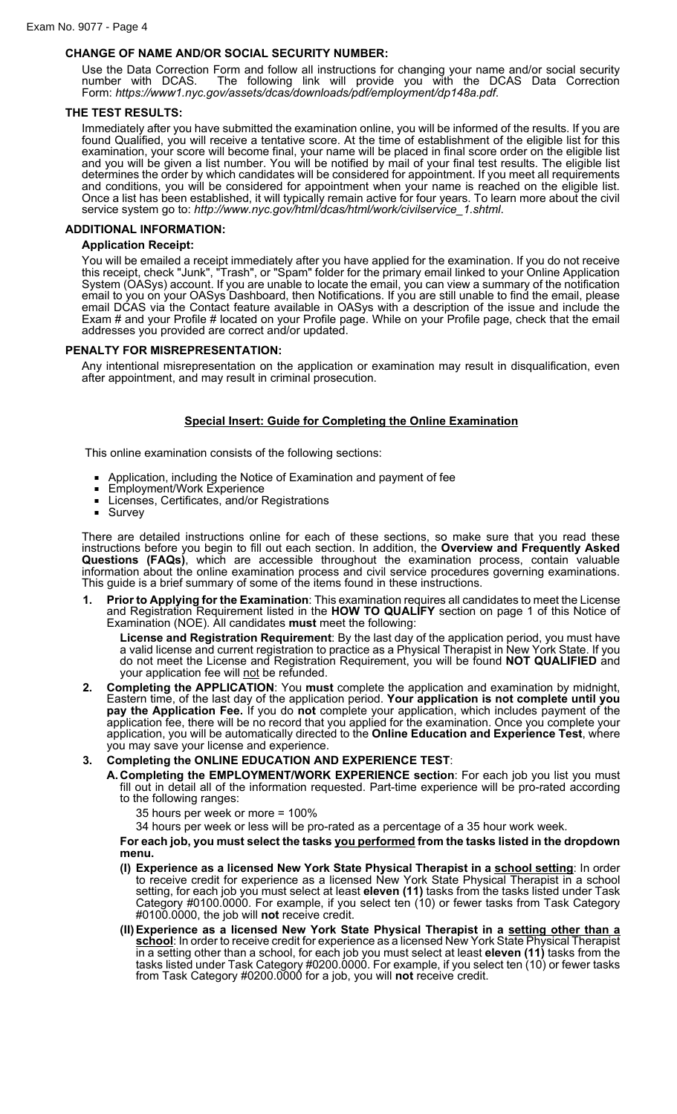# **CHANGE OF NAME AND/OR SOCIAL SECURITY NUMBER:**

Use the Data Correction Form and follow all instructions for changing your name and/or social security number with DCAS. The following link will provide you with the DCAS Data Correction Form: *https://www1.nyc.gov/assets/dcas/downloads/pdf/employment/dp148a.pdf*.

# **THE TEST RESULTS:**

Immediately after you have submitted the examination online, you will be informed of the results. If you are found Qualified, you will receive a tentative score. At the time of establishment of the eligible list for this examination, your score will become final, your name will be placed in final score order on the eligible list and you will be given a list number. You will be notified by mail of your final test results. The eligible list determines the order by which candidates will be considered for appointment. If you meet all requirements and conditions, you will be considered for appointment when your name is reached on the eligible list. Once a list has been established, it will typically remain active for four years. To learn more about the civil service system go to: *http://www.nyc.gov/html/dcas/html/work/civilservice\_1.shtml*.

## **ADDITIONAL INFORMATION:**

# **Application Receipt:**

You will be emailed a receipt immediately after you have applied for the examination. If you do not receive this receipt, check "Junk", "Trash", or "Spam" folder for the primary email linked to your Online Application System (OASys) account. If you are unable to locate the email, you can view a summary of the notification email to you on your OASys Dashboard, then Notifications. If you are still unable to find the email, please email DCAS via the Contact feature available in OASys with a description of the issue and include the Exam # and your Profile # located on your Profile page. While on your Profile page, check that the email addresses you provided are correct and/or updated.

## **PENALTY FOR MISREPRESENTATION:**

Any intentional misrepresentation on the application or examination may result in disqualification, even after appointment, and may result in criminal prosecution.

# **Special Insert: Guide for Completing the Online Examination**

This online examination consists of the following sections:

- Application, including the Notice of Examination and payment of fee
- Employment/Work Experience
- Licenses, Certificates, and/or Registrations<br>■ Survey
- Survey

There are detailed instructions online for each of these sections, so make sure that you read these instructions before you begin to fill out each section. In addition, the **Overview and Frequently Asked Questions (FAQs)**, which are accessible throughout the examination process, contain valuable information about the online examination process and civil service procedures governing examinations. This guide is a brief summary of some of the items found in these instructions.

**1. Prior to Applying for the Examination**: This examination requires all candidates to meet the License and Registration Requirement listed in the **HOW TO QUALIFY** section on page 1 of this Notice of Examination (NOE). All candidates **must** meet the following:

**License and Registration Requirement**: By the last day of the application period, you must have a valid license and current registration to practice as a Physical Therapist in New York State. If you do not meet the License and Registration Requirement, you will be found **NOT QUALIFIED** and your application fee will not be refunded.

**2. Completing the APPLICATION**: You **must** complete the application and examination by midnight, Eastern time, of the last day of the application period. **Your application is not complete until you pay the Application Fee.** If you do **not** complete your application, which includes payment of the application fee, there will be no record that you applied for the examination. Once you complete your application, you will be automatically directed to the **Online Education and Experience Test**, where you may save your license and experience.

# **3. Completing the ONLINE EDUCATION AND EXPERIENCE TEST**:

**A.Completing the EMPLOYMENT/WORK EXPERIENCE section**: For each job you list you must fill out in detail all of the information requested. Part-time experience will be pro-rated according to the following ranges:

35 hours per week or more = 100%

34 hours per week or less will be pro-rated as a percentage of a 35 hour work week.

**For each job, you must select the tasks you performed from the tasks listed in the dropdown menu.**

- **(I) Experience as a licensed New York State Physical Therapist in a school setting**: In order to receive credit for experience as a licensed New York State Physical Therapist in a school setting, for each job you must select at least **eleven (11)** tasks from the tasks listed under Task Category #0100.0000. For example, if you select ten (10) or fewer tasks from Task Category #0100.0000, the job will **not** receive credit.
- **(II)Experience as a licensed New York State Physical Therapist in a setting other than a school**: In order to receive credit for experience as a licensed New York State Physical Therapist in a setting other than a school, for each job you must select at least **eleven (11)** tasks from the tasks listed under Task Category #0200.0000. For example, if you select ten (10) or fewer tasks from Task Category #0200.0000 for a job, you will **not** receive credit.